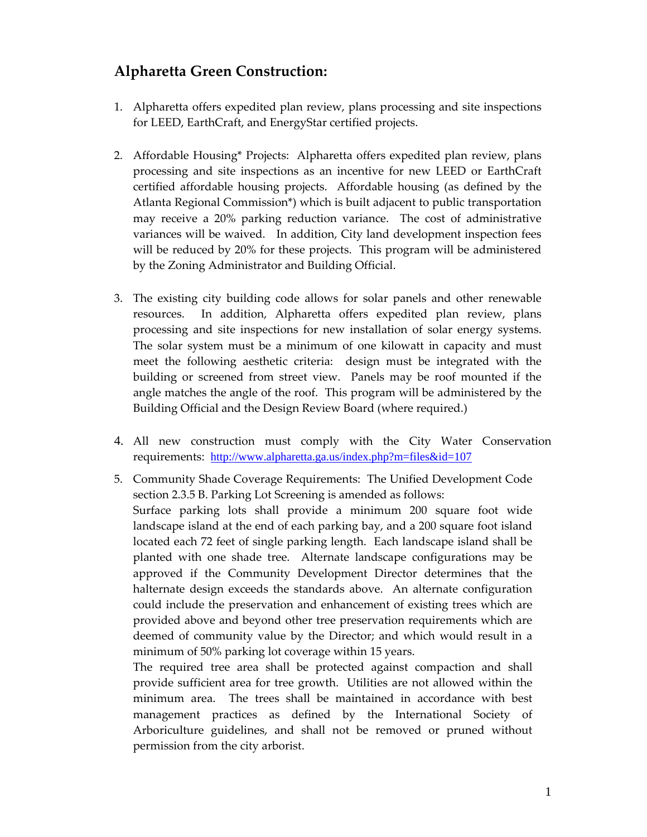## **Alpharetta Green Construction:**

- 1. Alpharetta offers expedited plan review, plans processing and site inspections for LEED, EarthCraft, and EnergyStar certified projects.
- 2. Affordable Housing\* Projects: Alpharetta offers expedited plan review, plans processing and site inspections as an incentive for new LEED or EarthCraft certified affordable housing projects. Affordable housing (as defined by the Atlanta Regional Commission\*) which is built adjacent to public transportation may receive a 20% parking reduction variance. The cost of administrative variances will be waived. In addition, City land development inspection fees will be reduced by 20% for these projects. This program will be administered by the Zoning Administrator and Building Official.
- 3. The existing city building code allows for solar panels and other renewable resources. In addition, Alpharetta offers expedited plan review, plans processing and site inspections for new installation of solar energy systems. The solar system must be a minimum of one kilowatt in capacity and must meet the following aesthetic criteria: design must be integrated with the building or screened from street view. Panels may be roof mounted if the angle matches the angle of the roof. This program will be administered by the Building Official and the Design Review Board (where required.)
- 4. All new construction must comply with the City Water Conservation requirements: <http://www.alpharetta.ga.us/index.php?m=files&id=107>
- 5. Community Shade Coverage Requirements: The Unified Development Code section 2.3.5 B. Parking Lot Screening is amended as follows: Surface parking lots shall provide a minimum 200 square foot wide landscape island at the end of each parking bay, and a 200 square foot island located each 72 feet of single parking length. Each landscape island shall be planted with one shade tree. Alternate landscape configurations may be approved if the Community Development Director determines that the halternate design exceeds the standards above. An alternate configuration could include the preservation and enhancement of existing trees which are provided above and beyond other tree preservation requirements which are deemed of community value by the Director; and which would result in a minimum of 50% parking lot coverage within 15 years.

The required tree area shall be protected against compaction and shall provide sufficient area for tree growth. Utilities are not allowed within the minimum area. The trees shall be maintained in accordance with best management practices as defined by the International Society of Arboriculture guidelines, and shall not be removed or pruned without permission from the city arborist.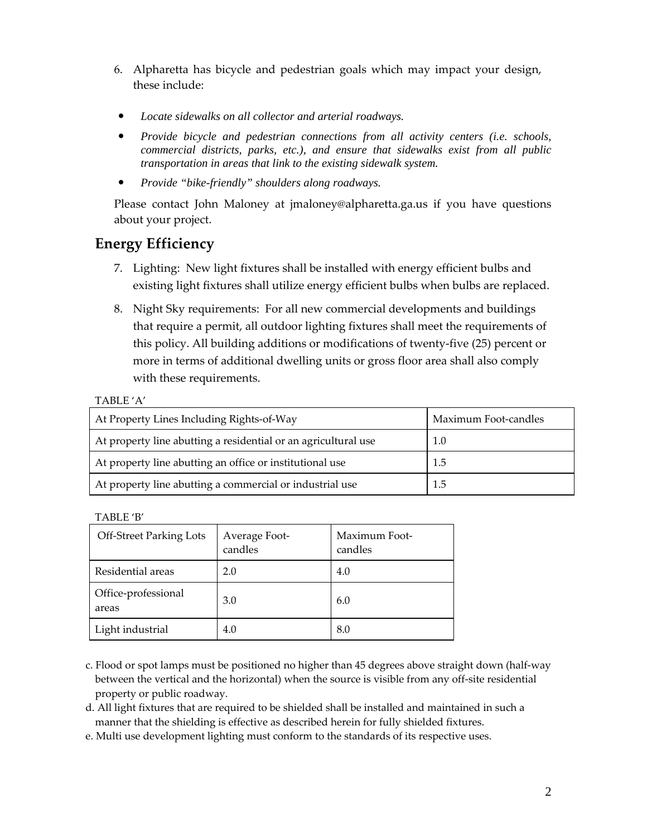- 6. Alpharetta has bicycle and pedestrian goals which may impact your design, these include:
- Locate sidewalks on all collector and arterial roadways.
- *Provide bicycle and pedestrian connections from all activity centers (i.e. schools, commercial districts, parks, etc.), and ensure that sidewalks exist from all public transportation in areas that link to the existing sidewalk system.*
- **•** *Provide "bike-friendly" shoulders along roadways.*

Please contact John Maloney at [jmaloney@alpharetta.ga.us](mailto:jmaloney@alpharetta.ga.us) if you have questions about your project.

## **Energy Efficiency**

- 7. Lighting: New light fixtures shall be installed with energy efficient bulbs and existing light fixtures shall utilize energy efficient bulbs when bulbs are replaced.
- 8. Night Sky requirements: For all new commercial developments and buildings that require a permit, all outdoor lighting fixtures shall meet the requirements of this policy. All building additions or modifications of twenty‐five (25) percent or more in terms of additional dwelling units or gross floor area shall also comply with these requirements.

## TABLE 'A'

| At Property Lines Including Rights-of-Way                      | Maximum Foot-candles |
|----------------------------------------------------------------|----------------------|
| At property line abutting a residential or an agricultural use | 1.0                  |
| At property line abutting an office or institutional use       | 1.5                  |
| At property line abutting a commercial or industrial use       | 1.5                  |

TABLE 'B'

| <b>Off-Street Parking Lots</b> | Average Foot-<br>candles | Maximum Foot-<br>candles |
|--------------------------------|--------------------------|--------------------------|
| Residential areas              | 2.0                      | 4.0                      |
| Office-professional<br>areas   | 3.0                      | 6.0                      |
| Light industrial               | 4.0                      | 8.0                      |

- c. Flood or spot lamps must be positioned no higher than 45 degrees above straight down (half‐way between the vertical and the horizontal) when the source is visible from any off-site residential property or public roadway.
- d. All light fixtures that are required to be shielded shall be installed and maintained in such a manner that the shielding is effective as described herein for fully shielded fixtures.
- e. Multi use development lighting must conform to the standards of its respective uses.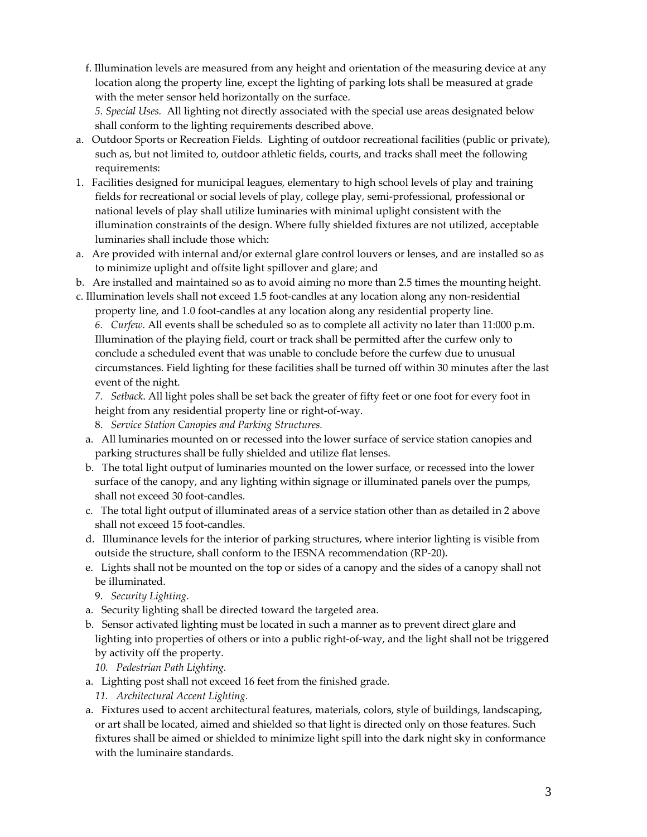f. Illumination levels are measured from any height and orientation of the measuring device at any location along the property line, except the lighting of parking lots shall be measured at grade with the meter sensor held horizontally on the surface.

*5. Special Uses.* All lighting not directly associated with the special use areas designated below shall conform to the lighting requirements described above.

- a. Outdoor Sports or Recreation Fields*.* Lighting of outdoor recreational facilities (public or private), such as, but not limited to, outdoor athletic fields, courts, and tracks shall meet the following requirements:
- 1. Facilities designed for municipal leagues, elementary to high school levels of play and training fields for recreational or social levels of play, college play, semi‐professional, professional or national levels of play shall utilize luminaries with minimal uplight consistent with the illumination constraints of the design. Where fully shielded fixtures are not utilized, acceptable luminaries shall include those which:
- a. Are provided with internal and/or external glare control louvers or lenses, and are installed so as to minimize uplight and offsite light spillover and glare; and
- b. Are installed and maintained so as to avoid aiming no more than 2.5 times the mounting height.
- c. Illumination levels shall not exceed 1.5 foot‐candles at any location along any non‐residential property line, and 1.0 foot‐candles at any location along any residential property line.

*6. Curfew.* All events shall be scheduled so as to complete all activity no later than 11:000 p.m. Illumination of the playing field, court or track shall be permitted after the curfew only to conclude a scheduled event that was unable to conclude before the curfew due to unusual circumstances. Field lighting for these facilities shall be turned off within 30 minutes after the last event of the night.

*7. Setback*. All light poles shall be set back the greater of fifty feet or one foot for every foot in height from any residential property line or right‐of‐way.

- 8. *Service Station Canopies and Parking Structures.*
- a. All luminaries mounted on or recessed into the lower surface of service station canopies and parking structures shall be fully shielded and utilize flat lenses.
- b. The total light output of luminaries mounted on the lower surface, or recessed into the lower surface of the canopy, and any lighting within signage or illuminated panels over the pumps, shall not exceed 30 foot‐candles.
- c. The total light output of illuminated areas of a service station other than as detailed in 2 above shall not exceed 15 foot‐candles.
- d. Illuminance levels for the interior of parking structures, where interior lighting is visible from outside the structure, shall conform to the IESNA recommendation (RP‐20).
- e. Lights shall not be mounted on the top or sides of a canopy and the sides of a canopy shall not be illuminated.

9. *Security Lighting.*

- a. Security lighting shall be directed toward the targeted area.
- b. Sensor activated lighting must be located in such a manner as to prevent direct glare and lighting into properties of others or into a public right‐of‐way, and the light shall not be triggered by activity off the property.
	- *10. Pedestrian Path Lighting.*
- a. Lighting post shall not exceed 16 feet from the finished grade.
	- *11. Architectural Accent Lighting.*
- a. Fixtures used to accent architectural features, materials, colors, style of buildings, landscaping, or art shall be located, aimed and shielded so that light is directed only on those features. Such fixtures shall be aimed or shielded to minimize light spill into the dark night sky in conformance with the luminaire standards.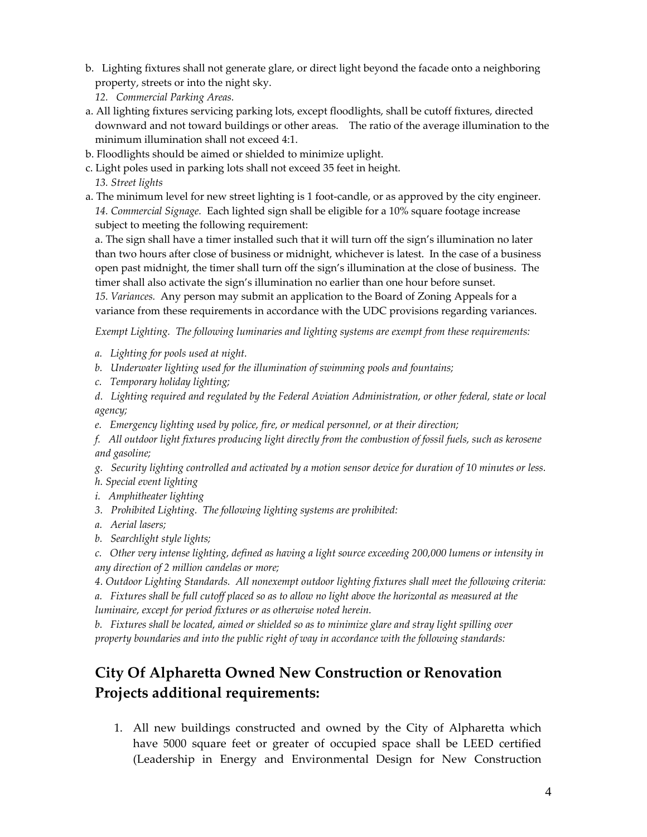- b. Lighting fixtures shall not generate glare, or direct light beyond the facade onto a neighboring property, streets or into the night sky.
	- *12. Commercial Parking Areas.*
- a. All lighting fixtures servicing parking lots, except floodlights, shall be cutoff fixtures, directed downward and not toward buildings or other areas. The ratio of the average illumination to the minimum illumination shall not exceed 4:1.
- b. Floodlights should be aimed or shielded to minimize uplight.
- c. Light poles used in parking lots shall not exceed 35 feet in height. *13. Street lights*
- a. The minimum level for new street lighting is 1 foot-candle, or as approved by the city engineer. *14. Commercial Signage.* Each lighted sign shall be eligible for a 10% square footage increase subject to meeting the following requirement:

a. The sign shall have a timer installed such that it will turn off the sign's illumination no later than two hours after close of business or midnight, whichever is latest. In the case of a business open past midnight, the timer shall turn off the sign's illumination at the close of business. The timer shall also activate the sign's illumination no earlier than one hour before sunset.

*15. Variances.* Any person may submit an application to the Board of Zoning Appeals for a variance from these requirements in accordance with the UDC provisions regarding variances.

*Exempt Lighting. The following luminaries and lighting systems are exempt from these requirements:* 

- *a. Lighting for pools used at night.*
- *b. Underwater lighting used for the illumination of swimming pools and fountains;*
- *c. Temporary holiday lighting;*

d. Lighting required and regulated by the Federal Aviation Administration, or other federal, state or local *agency;*

*e. Emergency lighting used by police, fire, or medical personnel, or at their direction;*

f. All outdoor light fixtures producing light directly from the combustion of fossil fuels, such as kerosene *and gasoline;*

g. Security lighting controlled and activated by a motion sensor device for duration of 10 minutes or less.

*h. Special event lighting*

- *i. Amphitheater lighting*
- *3. Prohibited Lighting. The following lighting systems are prohibited:*
- *a. Aerial lasers;*
- *b. Searchlight style lights;*

c. Other very intense lighting, defined as having a light source exceeding 200,000 lumens or intensity in *any direction of 2 million candelas or more;*

*4. Outdoor Lighting Standards. All nonexempt outdoor lighting fixtures shall meet the following criteria:* 

a. Fixtures shall be full cutoff placed so as to allow no light above the horizontal as measured at the *luminaire, except for period fixtures or as otherwise noted herein.*

b. Fixtures shall be located, aimed or shielded so as to minimize glare and stray light spilling over *property boundaries and into the public right of way in accordance with the following standards:*

## **City Of Alpharetta Owned New Construction or Renovation Projects additional requirements:**

1. All new buildings constructed and owned by the City of Alpharetta which have 5000 square feet or greater of occupied space shall be LEED certified (Leadership in Energy and Environmental Design for New Construction